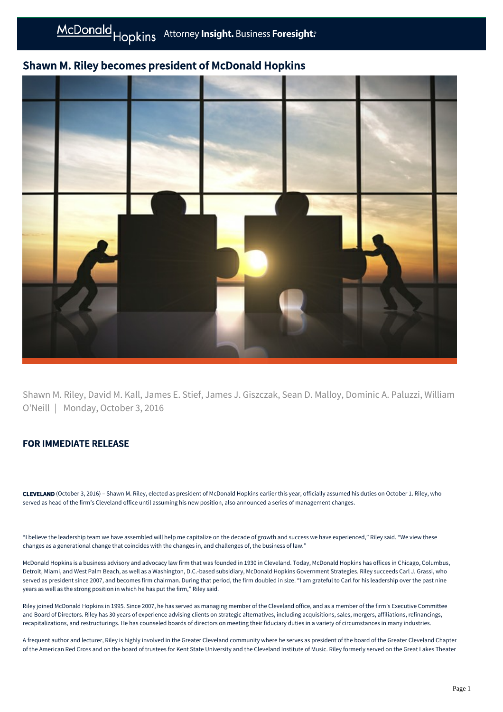## Shawn M. Riley becomes president of McDonald Hopkins



Shawn M. Riley, David M. Kall, James E. Stief, James J. Giszczak, Sean D. Malloy, Dominic A. Paluzzi, William O'Neill | Monday, October 3, 2016

## FOR IMMEDIATE RELEASE

CLEVELAND (October 3, 2016) – Shawn M. Riley, elected as president of McDonald Hopkins earlier this year, officially assumed his duties on October 1. Riley, who served as head of the firm's Cleveland office until assuming his new position, also announced a series of management changes.

"I believe the leadership team we have assembled will help me capitalize on the decade of growth and success we have experienced," Riley said. "We view these changes as a generational change that coincides with the changes in, and challenges of, the business of law."

McDonald Hopkins is a business advisory and advocacy law firm that was founded in 1930 in Cleveland. Today, McDonald Hopkins has offices in Chicago, Columbus, Detroit, Miami, and West Palm Beach, as well as a Washington, D.C.-based subsidiary, McDonald Hopkins Government Strategies. Riley succeeds Carl J. Grassi, who served as president since 2007, and becomes firm chairman. During that period, the firm doubled in size. "I am grateful to Carl for his leadership over the past nine years as well as the strong position in which he has put the firm," Riley said.

Riley joined McDonald Hopkins in 1995. Since 2007, he has served as managing member of the Cleveland office, and as a member of the firm's Executive Committee and Board of Directors. Riley has 30 years of experience advising clients on strategic alternatives, including acquisitions, sales, mergers, affiliations, refinancings, recapitalizations, and restructurings. He has counseled boards of directors on meeting their fiduciary duties in a variety of circumstances in many industries.

A frequent author and lecturer, Riley is highly involved in the Greater Cleveland community where he serves as president of the board of the Greater Cleveland Chapter of the American Red Cross and on the board of trustees for Kent State University and the Cleveland Institute of Music. Riley formerly served on the Great Lakes Theater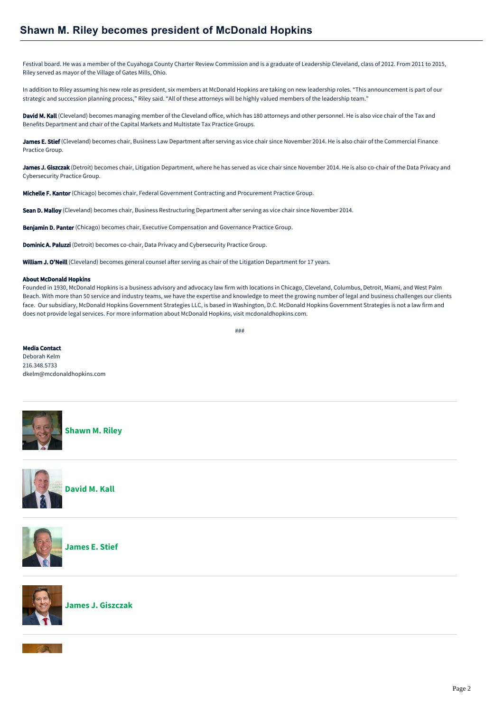## **Shawn M. Riley becomes president of McDonald Hopkins**

Festival board. He was a member of the Cuyahoga County Charter Review Commission and is a graduate of Leadership Cleveland, class of 2012. From 2011 to 2015, Riley served as mayor of the Village of Gates Mills, Ohio.

In addition to Riley assuming his new role as president, six members at McDonald Hopkins are taking on new leadership roles. "This announcement is part of our strategic and succession planning process," Riley said. "All of these attorneys will be highly valued members of the leadership team."

David M. Kall (Cleveland) becomes managing member of the Cleveland office, which has 180 attorneys and other personnel. He is also vice chair of the Tax and Benefits Department and chair of the Capital Markets and Multistate Tax Practice Groups.

James E. Stief (Cleveland) becomes chair, Business Law Department after serving as vice chair since November 2014. He is also chair of the Commercial Finance Practice Group.

James J. Giszczak (Detroit) becomes chair, Litigation Department, where he has served as vice chair since November 2014. He is also co-chair of the Data Privacy and Cybersecurity Practice Group.

Michelle F. Kantor (Chicago) becomes chair, Federal Government Contracting and Procurement Practice Group.

Sean D. Malloy (Cleveland) becomes chair, Business Restructuring Department after serving as vice chair since November 2014.

Benjamin D. Panter (Chicago) becomes chair, Executive Compensation and Governance Practice Group.

**Dominic A. Paluzzi** (Detroit) becomes co-chair, Data Privacy and Cybersecurity Practice Group.

William J. O'Neill (Cleveland) becomes general counsel after serving as chair of the Litigation Department for 17 years.

## About McDonald Hopkins

Founded in 1930, McDonald Hopkins is a business advisory and advocacy law firm with locations in Chicago, Cleveland, Columbus, Detroit, Miami, and West Palm Beach. With more than 50 service and industry teams, we have the expertise and knowledge to meet the growing number of legal and business challenges our clients face. Our subsidiary, McDonald Hopkins Government Strategies LLC, is based in Washington, D.C. McDonald Hopkins Government Strategies is not a law firm and does not provide legal services. For more information about McDonald Hopkins, visit mcdonaldhopkins.com.

###

Media Contact Deborah Kelm 216.348.5733 dkelm@mcdonaldhopkins.com



**[Shawn M. Riley](https://mcdonaldhopkins.com/Team/Attorney/s/Shawn-Riley)**



**[David M. Kall](https://mcdonaldhopkins.com/Team/Attorney/d/David-Kall)**



**[James E. Stief](https://mcdonaldhopkins.com/Team/Attorney/j/James-Stief)**



**[James J. Giszczak](https://mcdonaldhopkins.com/Team/Attorney/j/James-Giszczak)**